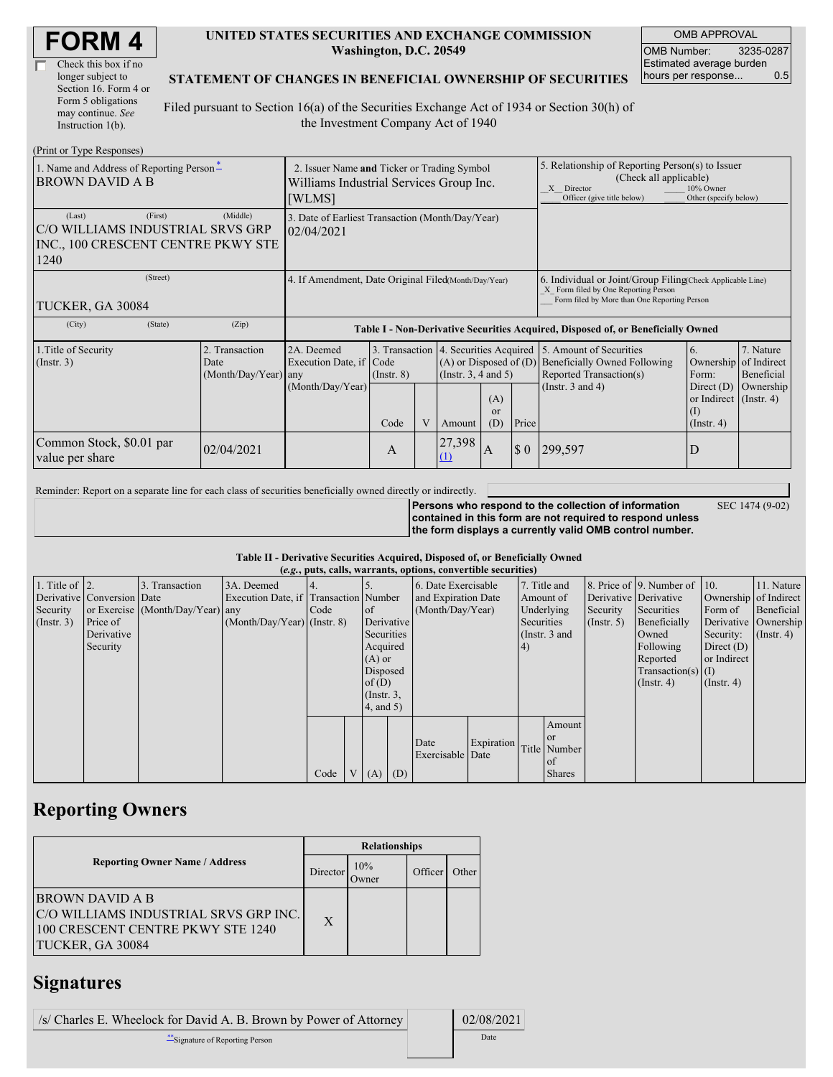| <b>FORM4</b> |  |
|--------------|--|
|--------------|--|

| Check this box if no  |
|-----------------------|
| longer subject to     |
| Section 16. Form 4 or |
| Form 5 obligations    |
| may continue. See     |
| Instruction 1(b).     |

#### **UNITED STATES SECURITIES AND EXCHANGE COMMISSION Washington, D.C. 20549**

OMB APPROVAL OMB Number: 3235-0287 Estimated average burden<br>hours per response... 0.5 hours per response...

### **STATEMENT OF CHANGES IN BENEFICIAL OWNERSHIP OF SECURITIES**

Filed pursuant to Section 16(a) of the Securities Exchange Act of 1934 or Section 30(h) of the Investment Company Act of 1940

| (Print or Type Responses)                                                                           |                                                                                                  |                                                           |                         |  |                                                                                                                                    |              |                                                                                                                                                              |                                                                                                                                                                                                                                      |   |                                                     |
|-----------------------------------------------------------------------------------------------------|--------------------------------------------------------------------------------------------------|-----------------------------------------------------------|-------------------------|--|------------------------------------------------------------------------------------------------------------------------------------|--------------|--------------------------------------------------------------------------------------------------------------------------------------------------------------|--------------------------------------------------------------------------------------------------------------------------------------------------------------------------------------------------------------------------------------|---|-----------------------------------------------------|
| 1. Name and Address of Reporting Person-<br><b>BROWN DAVID A B</b>                                  | 2. Issuer Name and Ticker or Trading Symbol<br>Williams Industrial Services Group Inc.<br>[WLMS] |                                                           |                         |  |                                                                                                                                    |              | 5. Relationship of Reporting Person(s) to Issuer<br>(Check all applicable)<br>10% Owner<br>X Director<br>Officer (give title below)<br>Other (specify below) |                                                                                                                                                                                                                                      |   |                                                     |
| (First)<br>(Last)<br>C/O WILLIAMS INDUSTRIAL SRVS GRP<br>INC., 100 CRESCENT CENTRE PKWY STE<br>1240 | 3. Date of Earliest Transaction (Month/Day/Year)<br>02/04/2021                                   |                                                           |                         |  |                                                                                                                                    |              |                                                                                                                                                              |                                                                                                                                                                                                                                      |   |                                                     |
| (Street)<br>TUCKER, GA 30084                                                                        | 4. If Amendment, Date Original Filed(Month/Day/Year)                                             |                                                           |                         |  |                                                                                                                                    |              | 6. Individual or Joint/Group Filing Check Applicable Line)<br>X Form filed by One Reporting Person<br>Form filed by More than One Reporting Person           |                                                                                                                                                                                                                                      |   |                                                     |
| (City)<br>(State)                                                                                   | (Zip)                                                                                            |                                                           |                         |  |                                                                                                                                    |              |                                                                                                                                                              | Table I - Non-Derivative Securities Acquired, Disposed of, or Beneficially Owned                                                                                                                                                     |   |                                                     |
| 1. Title of Security<br>$($ Instr. 3 $)$                                                            | 2. Transaction<br>Date<br>(Month/Day/Year) any                                                   | 2A. Deemed<br>Execution Date, if Code<br>(Month/Day/Year) | $($ Instr. $8)$<br>Code |  | 3. Transaction 4. Securities Acquired<br>$(A)$ or Disposed of $(D)$<br>(Insert. 3, 4 and 5)<br>(A)<br>or<br>(D)<br>Price<br>Amount |              |                                                                                                                                                              | 5. Amount of Securities<br><sup>6.</sup><br><b>Beneficially Owned Following</b><br>Ownership<br>Reported Transaction(s)<br>Form:<br>(Instr. $3$ and $4$ )<br>Direct $(D)$<br>or Indirect $($ Instr. 4 $)$<br>(I)<br>$($ Instr. 4 $)$ |   | 7. Nature<br>of Indirect<br>Beneficial<br>Ownership |
| Common Stock, \$0.01 par<br>value per share                                                         | 02/04/2021                                                                                       |                                                           | A                       |  | 27,398<br>(1)                                                                                                                      | $\mathsf{A}$ | $\boldsymbol{\mathsf{S}}$ 0                                                                                                                                  | 299,597                                                                                                                                                                                                                              | D |                                                     |

Reminder: Report on a separate line for each class of securities beneficially owned directly or indirectly.

**Persons who respond to the collection of information contained in this form are not required to respond unless**

**the form displays a currently valid OMB control number.**

SEC 1474 (9-02)

**Table II - Derivative Securities Acquired, Disposed of, or Beneficially Owned**

|                        | (e.g., puts, calls, warrants, options, convertible securities) |                                  |                                       |      |    |                 |  |                     |            |            |                 |              |                              |                       |                  |
|------------------------|----------------------------------------------------------------|----------------------------------|---------------------------------------|------|----|-----------------|--|---------------------|------------|------------|-----------------|--------------|------------------------------|-----------------------|------------------|
| 1. Title of $\vert$ 2. |                                                                | 3. Transaction                   | 3A. Deemed                            |      |    |                 |  | 6. Date Exercisable |            |            | 7. Title and    |              | 8. Price of 9. Number of 10. |                       | 11. Nature       |
|                        | Derivative Conversion Date                                     |                                  | Execution Date, if Transaction Number |      |    |                 |  | and Expiration Date |            | Amount of  |                 |              | Derivative Derivative        | Ownership of Indirect |                  |
| Security               |                                                                | or Exercise (Month/Day/Year) any |                                       | Code | of |                 |  | (Month/Day/Year)    |            | Underlying |                 | Security     | Securities                   | Form of               | Beneficial       |
| (Insert. 3)            | Price of                                                       |                                  | $(Month/Day/Year)$ (Instr. 8)         |      |    | Derivative      |  | Securities          |            |            | (Insert, 5)     | Beneficially |                              | Derivative Ownership  |                  |
|                        | Derivative                                                     |                                  |                                       |      |    | Securities      |  |                     |            |            | (Instr. $3$ and |              | Owned                        | Security:             | $($ Instr. 4 $)$ |
|                        | Security                                                       |                                  |                                       |      |    | Acquired        |  |                     |            | 4)         |                 |              | Following                    | Direct $(D)$          |                  |
|                        |                                                                |                                  |                                       |      |    | $(A)$ or        |  |                     |            |            |                 |              | Reported                     | or Indirect           |                  |
|                        |                                                                |                                  |                                       |      |    | Disposed        |  |                     |            |            |                 |              | $Transaction(s)$ (I)         |                       |                  |
|                        |                                                                |                                  |                                       |      |    | of $(D)$        |  |                     |            |            |                 |              | $($ Instr. 4 $)$             | $($ Instr. 4 $)$      |                  |
|                        |                                                                |                                  |                                       |      |    | $($ Instr. $3,$ |  |                     |            |            |                 |              |                              |                       |                  |
|                        |                                                                |                                  |                                       |      |    | $4$ , and $5$ ) |  |                     |            |            |                 |              |                              |                       |                  |
|                        |                                                                |                                  |                                       |      |    |                 |  |                     |            |            | Amount          |              |                              |                       |                  |
|                        |                                                                |                                  |                                       |      |    |                 |  | Date                | Expiration |            | or or           |              |                              |                       |                  |
|                        |                                                                |                                  |                                       |      |    |                 |  | Exercisable Date    |            |            | Title Number    |              |                              |                       |                  |
|                        |                                                                |                                  |                                       |      |    |                 |  |                     |            |            | of              |              |                              |                       |                  |
|                        |                                                                |                                  |                                       | Code |    | $(A)$ $(D)$     |  |                     |            |            | <b>Shares</b>   |              |                              |                       |                  |

# **Reporting Owners**

|                                                                                                                   | <b>Relationships</b> |               |         |       |  |  |  |
|-------------------------------------------------------------------------------------------------------------------|----------------------|---------------|---------|-------|--|--|--|
| <b>Reporting Owner Name / Address</b>                                                                             | Director             | 10%<br>.)wner | Officer | Other |  |  |  |
| BROWN DAVID A B<br>C/O WILLIAMS INDUSTRIAL SRVS GRP INC.<br>100 CRESCENT CENTRE PKWY STE 1240<br>TUCKER, GA 30084 | $\mathbf{X}$         |               |         |       |  |  |  |

### **Signatures**

| /s/ Charles E. Wheelock for David A. B. Brown by Power of Attorney | 02/08/2021 |
|--------------------------------------------------------------------|------------|
| Signature of Reporting Person                                      | Date       |